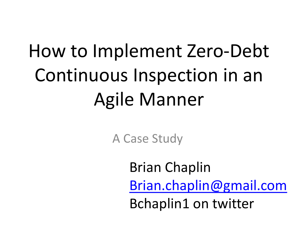# How to Implement Zero-Debt Continuous Inspection in an Agile Manner

A Case Study

Brian Chaplin [Brian.chaplin@gmail.com](mailto:Brian.chaplin@gmail.com) Bchaplin1 on twitter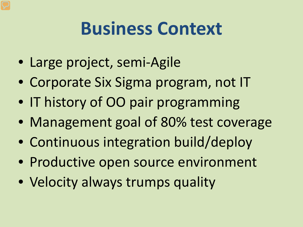#### **Business Context**

- Large project, semi-Agile
- Corporate Six Sigma program, not IT
- IT history of OO pair programming
- Management goal of 80% test coverage
- Continuous integration build/deploy
- Productive open source environment
- Velocity always trumps quality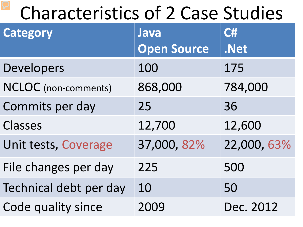## Characteristics of 2 Case Studies

| <b>Category</b>             | Java               | C#          |
|-----------------------------|--------------------|-------------|
|                             | <b>Open Source</b> | .Net        |
| Developers                  | 100                | 175         |
| <b>NCLOC</b> (non-comments) | 868,000            | 784,000     |
| Commits per day             | 25                 | 36          |
| Classes                     | 12,700             | 12,600      |
| Unit tests, Coverage        | 37,000, 82%        | 22,000, 63% |
| File changes per day        | 225                | 500         |
| Technical debt per day      | 10                 | 50          |
| Code quality since          |                    | Dec. 2012   |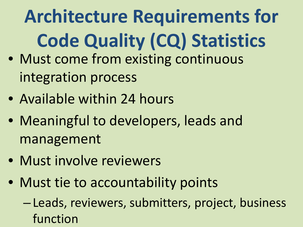# **Architecture Requirements for Code Quality (CQ) Statistics**

- Must come from existing continuous integration process
- Available within 24 hours
- Meaningful to developers, leads and management
- Must involve reviewers
- Must tie to accountability points
	- Leads, reviewers, submitters, project, business function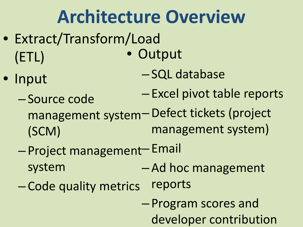**Architecture Overview** • Extract/Transform/Load (ETL) • Input – Source code management system – Defect tickets (project (SCM) - Project management-Email system – Code quality metrics **Output** – SQL database – Excel pivot table reports management system) – Ad hoc management reports – Program scores and developer contribution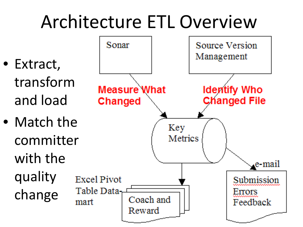## Architecture ETL Overview

- Extract, transform and load
- Match the committer with the quality change

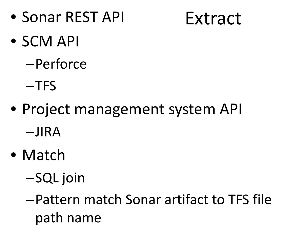• Sonar REST API

Extract

- SCM API
	- –Perforce
	- –TFS
- Project management system API –JIRA
- Match
	- –SQL join
	- –Pattern match Sonar artifact to TFS file path name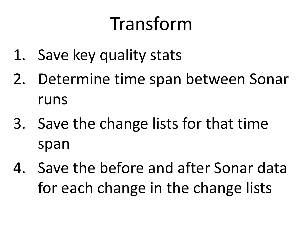## Transform

- 1. Save key quality stats
- 2. Determine time span between Sonar runs
- 3. Save the change lists for that time span
- 4. Save the before and after Sonar data for each change in the change lists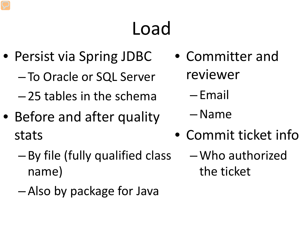# Load

- Persist via Spring JDBC
	- To Oracle or SQL Server
	- 25 tables in the schema
- Before and after quality stats
	- By file (fully qualified class name)
	- Also by package for Java
- Committer and reviewer
	- Email
	- –Name
- Commit ticket info
	- –Who authorized the ticket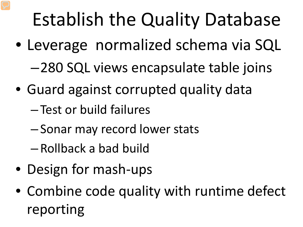# Establish the Quality Database

- Leverage normalized schema via SQL –280 SQL views encapsulate table joins
- Guard against corrupted quality data
	- Test or build failures
	- Sonar may record lower stats
	- Rollback a bad build
- Design for mash-ups
- Combine code quality with runtime defect reporting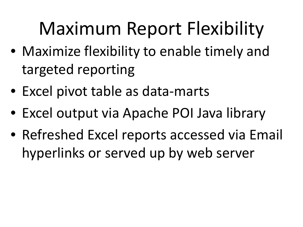# Maximum Report Flexibility

- Maximize flexibility to enable timely and targeted reporting
- Excel pivot table as data-marts
- Excel output via Apache POI Java library
- Refreshed Excel reports accessed via Email hyperlinks or served up by web server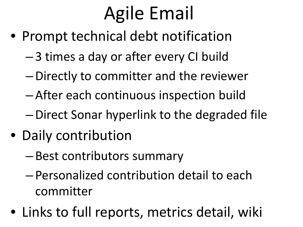# Agile Email

- Prompt technical debt notification
	- 3 times a day or after every CI build
	- –Directly to committer and the reviewer
	- After each continuous inspection build
	- –Direct Sonar hyperlink to the degraded file
- Daily contribution
	- Best contributors summary
	- Personalized contribution detail to each committer
- Links to full reports, metrics detail, wiki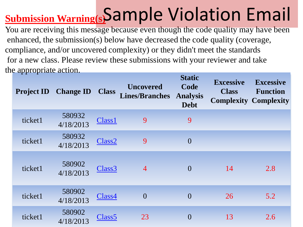## **Submission Warning(s)** Sample Violation Email

You are receiving this message because even though the code quality may have been enhanced, the submission(s) below have decreased the code quality (coverage, compliance, and/or uncovered complexity) or they didn't meet the standards for a new class. Please review these submissions with your reviewer and take the appropriate action.

| <b>Project ID</b> | <b>Change ID</b>    | <b>Class</b>       | <b>Uncovered</b><br><b>Lines/Branches</b> | <b>Static</b><br>Code<br><b>Analysis</b><br><b>Debt</b> | <b>Excessive</b><br><b>Class</b> | <b>Excessive</b><br><b>Function</b><br><b>Complexity Complexity</b> |
|-------------------|---------------------|--------------------|-------------------------------------------|---------------------------------------------------------|----------------------------------|---------------------------------------------------------------------|
| ticket1           | 580932<br>4/18/2013 | Class1             | 9                                         | 9                                                       |                                  |                                                                     |
| ticket1           | 580932<br>4/18/2013 | Class <sub>2</sub> | 9                                         | $\overline{0}$                                          |                                  |                                                                     |
| ticket1           | 580902<br>4/18/2013 | Class <sub>3</sub> | $\overline{4}$                            | $\theta$                                                | 14                               | 2.8                                                                 |
| ticket1           | 580902<br>4/18/2013 | Class4             | $\overline{0}$                            | $\theta$                                                | 26                               | 5.2                                                                 |
| ticket1           | 580902<br>4/18/2013 | Class <sub>5</sub> | 23                                        | $\theta$                                                | 13                               | 2.6                                                                 |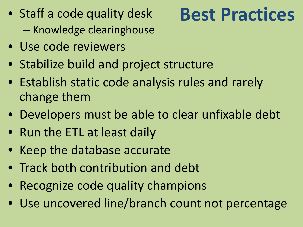• Staff a code quality desk – Knowledge clearinghouse

#### • Use code reviewers

- Stabilize build and project structure
- Establish static code analysis rules and rarely change them
- Developers must be able to clear unfixable debt
- Run the ETL at least daily
- Keep the database accurate
- Track both contribution and debt
- Recognize code quality champions
- Use uncovered line/branch count not percentage

## **Best Practices**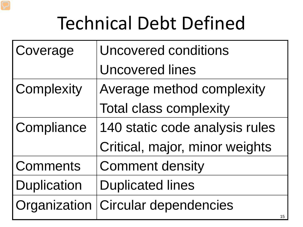# Technical Debt Defined

| Coverage           | <b>Uncovered conditions</b>    |
|--------------------|--------------------------------|
|                    | <b>Uncovered lines</b>         |
| Complexity         | Average method complexity      |
|                    | <b>Total class complexity</b>  |
| Compliance         | 140 static code analysis rules |
|                    | Critical, major, minor weights |
| <b>Comments</b>    | <b>Comment density</b>         |
| <b>Duplication</b> | <b>Duplicated lines</b>        |
| Organization       | <b>Circular dependencies</b>   |
|                    | 15                             |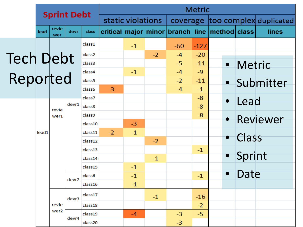|                  | <b>Sprint Debt</b>           |                  |       | <b>Metric</b>      |      |              |      |                        |                                               |           |              |             |  |            |
|------------------|------------------------------|------------------|-------|--------------------|------|--------------|------|------------------------|-----------------------------------------------|-----------|--------------|-------------|--|------------|
|                  |                              |                  |       | static violations  |      | coverage     |      | too complex duplicated |                                               |           |              |             |  |            |
|                  | revie<br>lead<br>devr<br>wer |                  | class |                    |      |              |      |                        | critical major minor branch line method class |           | lines        |             |  |            |
|                  |                              |                  |       | class1             |      | $-1$         |      | $-60$                  | $-127$                                        |           |              |             |  |            |
|                  |                              |                  |       | class <sub>2</sub> |      |              | $-2$ | $-4$                   | $-20$                                         |           |              |             |  |            |
| <b>Tech Debt</b> |                              |                  |       | class3             |      |              |      | $-5$                   | $-11$                                         |           | · Metric     |             |  |            |
|                  |                              |                  |       | class4             |      | $-1$         |      | $-4$                   | $-9$                                          |           |              |             |  |            |
| Reported         |                              |                  |       | class5             |      |              |      | $-2$                   | $-11$                                         |           |              | · Submitter |  |            |
|                  |                              |                  |       | class6             | $-3$ |              |      | $-4$                   | $-1$                                          |           |              |             |  |            |
|                  |                              |                  | devr1 | class7             |      |              |      |                        | $-8$                                          | $\bullet$ | Lead         |             |  |            |
|                  |                              | revie            |       | class8             |      |              |      |                        | $-8$                                          |           |              |             |  |            |
|                  |                              |                  |       | wer1               |      | class9       |      |                        |                                               |           | $-8$         |             |  | • Reviewer |
|                  | lead1                        |                  |       | class10<br>class11 | $-2$ | $-3$<br>$-1$ |      |                        |                                               |           |              |             |  |            |
|                  |                              |                  |       | class12            |      |              | $-2$ |                        |                                               |           | <b>Class</b> |             |  |            |
|                  |                              |                  |       | class13            |      |              |      |                        | $-1$                                          |           |              |             |  |            |
|                  |                              |                  |       | class14            |      |              | $-1$ |                        |                                               |           | • Sprint     |             |  |            |
|                  |                              |                  |       | class15            |      | $-1$         |      |                        |                                               |           |              |             |  |            |
|                  |                              |                  |       | class6             |      | $-1$         |      |                        | $-1$                                          | $\bullet$ | Date         |             |  |            |
|                  |                              |                  | devr2 | class16            |      | $-1$         |      |                        |                                               |           |              |             |  |            |
|                  |                              |                  | devr3 | class17            |      |              | $-1$ |                        | $-16$                                         |           |              |             |  |            |
|                  |                              | revie            |       | class18            |      |              |      |                        | $-2$                                          |           |              |             |  |            |
|                  |                              | wer <sub>2</sub> | devr4 | class19            |      | $-4$         |      | $-3$                   | $-5$                                          |           |              |             |  |            |
|                  |                              |                  |       | class20            |      |              |      | $-3$                   |                                               |           |              |             |  |            |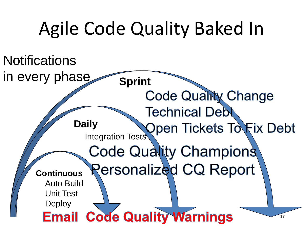# Agile Code Quality Baked In

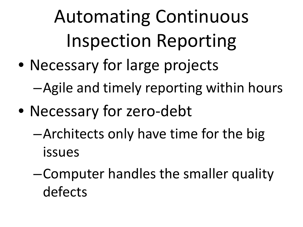Automating Continuous Inspection Reporting

• Necessary for large projects

–Agile and timely reporting within hours

- Necessary for zero-debt
	- –Architects only have time for the big issues
	- –Computer handles the smaller quality defects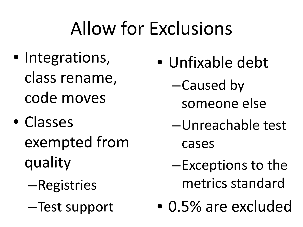# Allow for Exclusions

- Integrations, class rename, code moves
- Classes exempted from quality
	- –Registries
	- –Test support
- Unfixable debt
	- –Caused by someone else
	- –Unreachable test cases
	- –Exceptions to the metrics standard
- 0.5% are excluded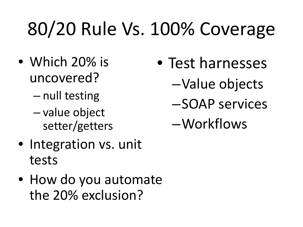# 80/20 Rule Vs. 100% Coverage

- Which 20% is uncovered?
	- null testing
	- value object setter/getters
- Integration vs. unit tests
- How do you automate the 20% exclusion?
- Test harnesses
	- –Value objects
	- –SOAP services
	- –Workflows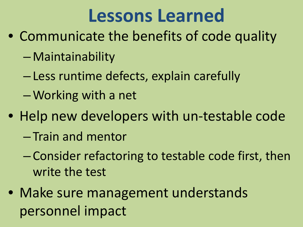## **Lessons Learned**

- Communicate the benefits of code quality
	- Maintainability
	- Less runtime defects, explain carefully
	- –Working with a net
- Help new developers with un-testable code
	- Train and mentor
	- Consider refactoring to testable code first, then write the test
- Make sure management understands personnel impact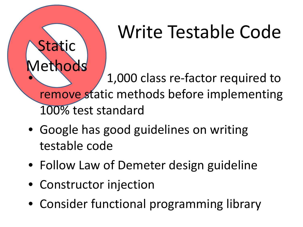# Write Testable Code

Methods • 1,000 class re-factor required to remove static methods before implementing 100% test standard

- Google has good guidelines on writing testable code
- Follow Law of Demeter design guideline
- Constructor injection

Static

• Consider functional programming library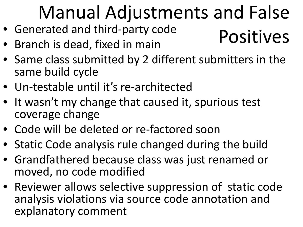# Manual Adjustments and False

- Generated and third-party code Positives
- Branch is dead, fixed in main
- Same class submitted by 2 different submitters in the same build cycle
- Un-testable until it's re-architected
- It wasn't my change that caused it, spurious test coverage change
- Code will be deleted or re-factored soon
- Static Code analysis rule changed during the build
- Grandfathered because class was just renamed or moved, no code modified
- Reviewer allows selective suppression of static code analysis violations via source code annotation and explanatory comment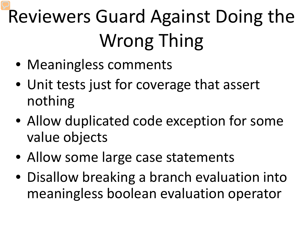# Reviewers Guard Against Doing the Wrong Thing

- Meaningless comments
- Unit tests just for coverage that assert nothing
- Allow duplicated code exception for some value objects
- Allow some large case statements
- Disallow breaking a branch evaluation into meaningless boolean evaluation operator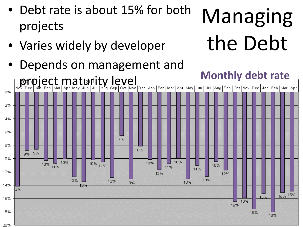

• Debt rate is about 15% for both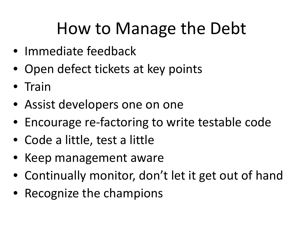#### How to Manage the Debt

- Immediate feedback
- Open defect tickets at key points
- Train
- Assist developers one on one
- Encourage re-factoring to write testable code
- Code a little, test a little
- Keep management aware
- Continually monitor, don't let it get out of hand
- Recognize the champions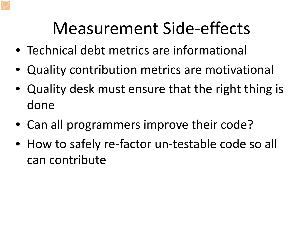#### Measurement Side-effects

- Technical debt metrics are informational
- Quality contribution metrics are motivational
- Quality desk must ensure that the right thing is done
- Can all programmers improve their code?
- How to safely re-factor un-testable code so all can contribute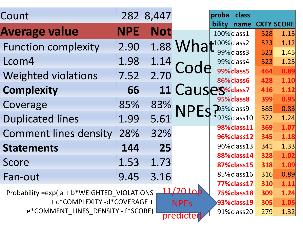| Count                                                                               |            | 282 8,447  |                           | proba  | class                      |            |                   |
|-------------------------------------------------------------------------------------|------------|------------|---------------------------|--------|----------------------------|------------|-------------------|
| <b>Average value</b>                                                                | <b>NPE</b> | <b>Not</b> |                           | bility | name<br>100% class1        |            | <b>CXTY SCORE</b> |
|                                                                                     |            |            |                           |        |                            | 528<br>523 | 1.13<br>1.12      |
| <b>Function complexity</b>                                                          | 2.90       |            | 1.88 What all and class 2 |        | 99% class 3                | 523        | 1.45              |
| Lcom4                                                                               | 1.98       | 1.14       |                           |        | 99% class4                 | 523        | 1.25              |
| <b>Weighted violations</b>                                                          | 7.52       | 2.70       | Cod                       |        | 99% class5                 | 464        | 0.89              |
|                                                                                     |            |            |                           |        | 86% class6                 | 428        | 1.10              |
| <b>Complexity</b>                                                                   | 66         |            | 11 Causes Scharz          |        |                            | 416        | 1.12              |
| Coverage                                                                            | 85%        | 83%        |                           |        | 95% class8                 | 399        | 0.95              |
|                                                                                     |            |            |                           |        | 25% class 9                | 385        | 0.83              |
| <b>Duplicated lines</b>                                                             | 1.99       | 5.61       |                           |        | '92% class 10              | 372        | 1.24              |
| <b>Comment lines density</b>                                                        | 28%        | 32%        |                           |        | 98% class11<br>96% class12 | 369<br>345 | 1.07<br>1.18      |
|                                                                                     |            |            |                           |        | 96% class 13               | 341        | 1.33              |
| <b>Statements</b>                                                                   | 144        | 25         |                           |        |                            |            |                   |
| Score                                                                               | 1.53       | 1.73       |                           |        | 88% class 14               | 328        | 1.02              |
|                                                                                     |            |            |                           |        | 87% class 15               | 318        | 1.09              |
| Fan-out                                                                             | 9.45       | 3.16       |                           |        | 85% class 16               | 316        | 0.89              |
|                                                                                     |            |            |                           |        | 77% class 17               | 310        | 1.11              |
| 11/2<br>Probability = exp( a + b*WEIGHTED VIOLATIONS<br>1.24<br>75% class 18<br>309 |            |            |                           |        |                            |            |                   |
| + c*COMPLEXITY -d*COVERAGE +<br>1.05<br>93% class 19<br>305<br><b>NPEs</b>          |            |            |                           |        |                            |            |                   |
| e*COMMENT_LINES_DENSITY - f*SCORE)<br>91% class 20<br>1.32<br>279<br>predicted      |            |            |                           |        |                            |            |                   |
|                                                                                     |            |            |                           |        |                            |            |                   |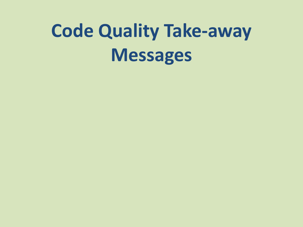# **Code Quality Take-away Messages**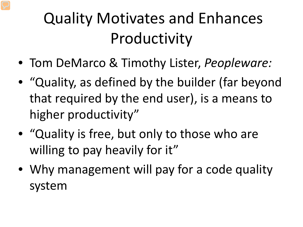#### Quality Motivates and Enhances Productivity

- Tom DeMarco & Timothy Lister, *Peopleware:*
- "Quality, as defined by the builder (far beyond that required by the end user), is a means to higher productivity"
- "Quality is free, but only to those who are willing to pay heavily for it"
- Why management will pay for a code quality system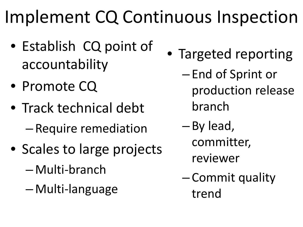# Implement CQ Continuous Inspection

- Establish CQ point of accountability
- Promote CQ
- Track technical debt – Require remediation
- Scales to large projects
	- Multi-branch
	- Multi-language
- Targeted reporting
	- End of Sprint or production release branch
	- By lead, committer,
		- reviewer
	- Commit quality trend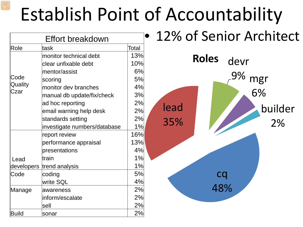# Establish Point of Accountability

|                 | Effort breakdown             |       | 12% of Senior Architect |
|-----------------|------------------------------|-------|-------------------------|
| Role            | ltask                        | Total |                         |
|                 | monitor technical debt       | 13%   | <b>Roles</b>            |
|                 | clear unfixable debt         | 10%   | devr                    |
|                 | mentor/assist                | 6%    | 9%                      |
| Code            | scoring                      | 5%    | mgr                     |
| Quality<br>Czar | monitor dev branches         | 4%    |                         |
|                 | manual db update/fix/check   | 3%    | 6%                      |
|                 | ad hoc reporting             | 2%    | lead                    |
|                 | email warning help desk      | 2%    | builder                 |
|                 | standards setting            | 2%    | 35%<br>2%               |
|                 | investigate numbers/database | 1%    |                         |
|                 | report review                | 16%   |                         |
|                 | performance appraisal        | 13%   |                         |
|                 | presentations                | 4%    |                         |
| Lead            | train                        | 1%    |                         |
| developers      | trend analysis               | 1%    |                         |
| Code            | coding                       | 5%    | cq                      |
|                 | write SQL                    | 4%    | 48%                     |
| Manage          | awareness                    | 2%    |                         |
|                 | inform/escalate              | 2%    |                         |
|                 | sell                         | 2%    |                         |
| Build           | sonar                        | 2%    |                         |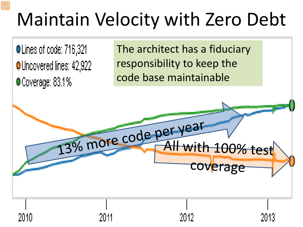# Maintain Velocity with Zero Debt